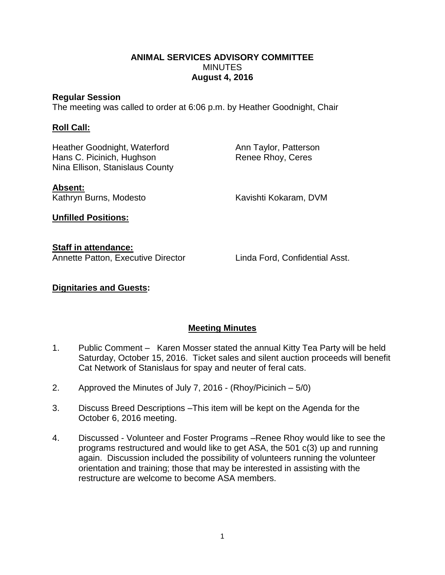### **ANIMAL SERVICES ADVISORY COMMITTEE MINUTES August 4, 2016**

#### **Regular Session**

The meeting was called to order at 6:06 p.m. by Heather Goodnight, Chair

### **Roll Call:**

Heather Goodnight, Waterford **Ann Taylor, Patterson** Hans C. Picinich, Hughson Renee Rhoy, Ceres Nina Ellison, Stanislaus County

**Absent:**

Kathryn Burns, Modesto Kavishti Kokaram, DVM

**Unfilled Positions:**

**Staff in attendance:** Annette Patton, Executive Director Linda Ford, Confidential Asst.

## **Dignitaries and Guests:**

# **Meeting Minutes**

- 1. Public Comment Karen Mosser stated the annual Kitty Tea Party will be held Saturday, October 15, 2016. Ticket sales and silent auction proceeds will benefit Cat Network of Stanislaus for spay and neuter of feral cats.
- 2. Approved the Minutes of July 7, 2016 (Rhoy/Picinich 5/0)
- 3. Discuss Breed Descriptions –This item will be kept on the Agenda for the October 6, 2016 meeting.
- 4. Discussed Volunteer and Foster Programs –Renee Rhoy would like to see the programs restructured and would like to get ASA, the 501 c(3) up and running again. Discussion included the possibility of volunteers running the volunteer orientation and training; those that may be interested in assisting with the restructure are welcome to become ASA members.